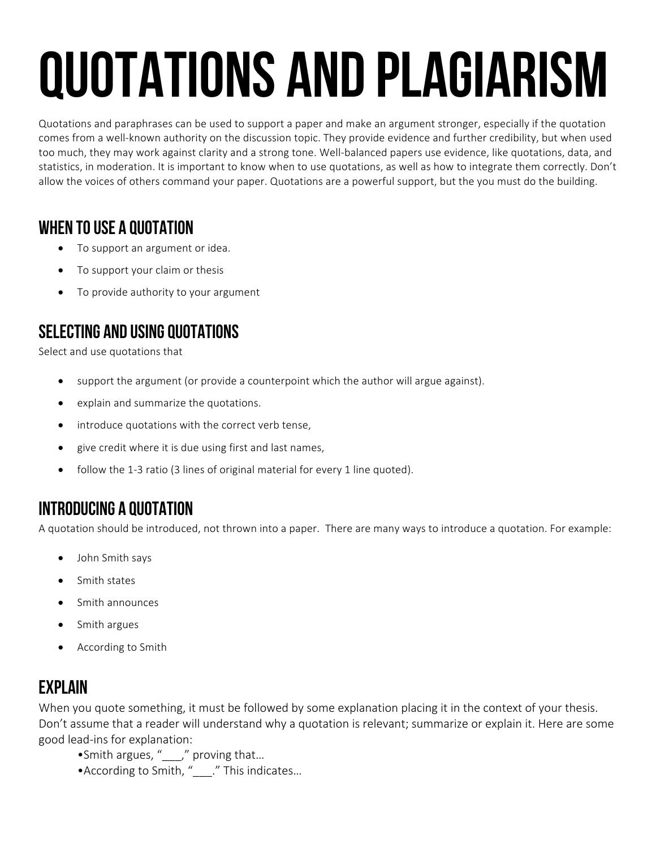# QUOTATIONS and plagiarism

Quotations and paraphrases can be used to support a paper and make an argument stronger, especially if the quotation comes from a well-known authority on the discussion topic. They provide evidence and further credibility, but when used too much, they may work against clarity and a strong tone. Well-balanced papers use evidence, like quotations, data, and statistics, in moderation. It is important to know when to use quotations, as well as how to integrate them correctly. Don't allow the voices of others command your paper. Quotations are a powerful support, but the you must do the building.

# WHEN TO USE A QUOTATION

- To support an argument or idea.
- To support your claim or thesis
- To provide authority to your argument

## SELECTING and using QUOTATIONS

Select and use quotations that

- support the argument (or provide a counterpoint which the author will argue against).
- explain and summarize the quotations.
- introduce quotations with the correct verb tense,
- give credit where it is due using first and last names,
- follow the 1-3 ratio (3 lines of original material for every 1 line quoted).

# Introducing a Quotation

A quotation should be introduced, not thrown into a paper. There are many ways to introduce a quotation. For example:

- John Smith says
- Smith states
- Smith announces
- Smith argues
- According to Smith

# **FXPI AIN**

When you quote something, it must be followed by some explanation placing it in the context of your thesis. Don't assume that a reader will understand why a quotation is relevant; summarize or explain it. Here are some good lead-ins for explanation:

- •Smith argues, "\_\_\_," proving that...
- According to Smith, " \_\_\_." This indicates...